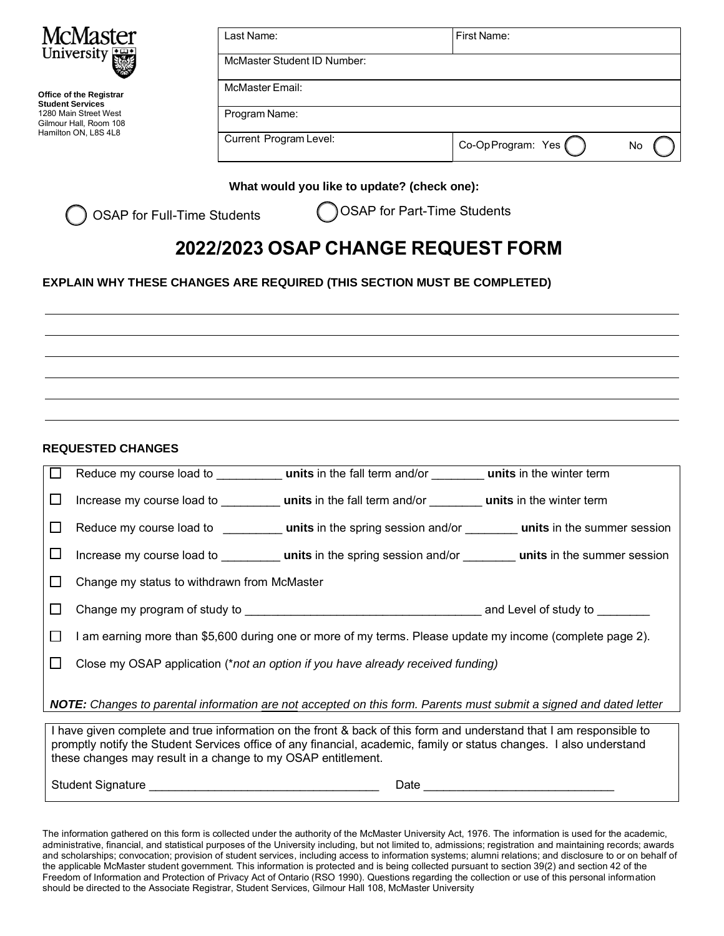

**Office of the Registrar Student Services**  1280 Main Street West Gilmour Hall, Room 108 Hamilton ON, L8S 4L8

| Last Name:                  | First Name:        |    |
|-----------------------------|--------------------|----|
| McMaster Student ID Number: |                    |    |
| McMaster Email:             |                    |    |
| Program Name:               |                    |    |
| Current Program Level:      | Co-Op Program: Yes | No |

## **What would you like to update? (check one):**

OSAP for Full-Time Students

OSAP for Part-Time Students

## **2022/2023 OSAP CHANGE REQUEST FORM**

## **EXPLAIN WHY THESE CHANGES ARE REQUIRED (THIS SECTION MUST BE COMPLETED)**

**REQUESTED CHANGES** 

| $\Box$  |                                                                                                                           |  |  |  |  |
|---------|---------------------------------------------------------------------------------------------------------------------------|--|--|--|--|
| ப       |                                                                                                                           |  |  |  |  |
| $\Box$  | Reduce my course load to <b>units</b> in the spring session and/or <b>units</b> in the summer session                     |  |  |  |  |
| ப       | Increase my course load to <b>units</b> in the spring session and/or <b>units</b> in the summer session                   |  |  |  |  |
| $\perp$ | Change my status to withdrawn from McMaster                                                                               |  |  |  |  |
| $\perp$ |                                                                                                                           |  |  |  |  |
| $\Box$  | l am earning more than \$5,600 during one or more of my terms. Please update my income (complete page 2).                 |  |  |  |  |
| $\perp$ | Close my OSAP application (*not an option if you have already received funding)                                           |  |  |  |  |
|         | <b>NOTE:</b> Changes to parental information are not accepted on this form. Parents must submit a signed and dated letter |  |  |  |  |

I have given complete and true information on the front & back of this form and understand that I am responsible to promptly notify the Student Services office of any financial, academic, family or status changes. I also understand these changes may result in a change to my OSAP entitlement.

Student Signature **Example 20** and  $\blacksquare$  Date  $\blacksquare$ 

The information gathered on this form is collected under the authority of the McMaster University Act, 1976. The information is used for the academic, administrative, financial, and statistical purposes of the University including, but not limited to, admissions; registration and maintaining records; awards and scholarships; convocation; provision of student services, including access to information systems; alumni relations; and disclosure to or on behalf of the applicable McMaster student government. This information is protected and is being collected pursuant to section 39(2) and section 42 of the Freedom of Information and Protection of Privacy Act of Ontario (RSO 1990). Questions regarding the collection or use of this personal information should be directed to the Associate Registrar, Student Services, Gilmour Hall 108, McMaster University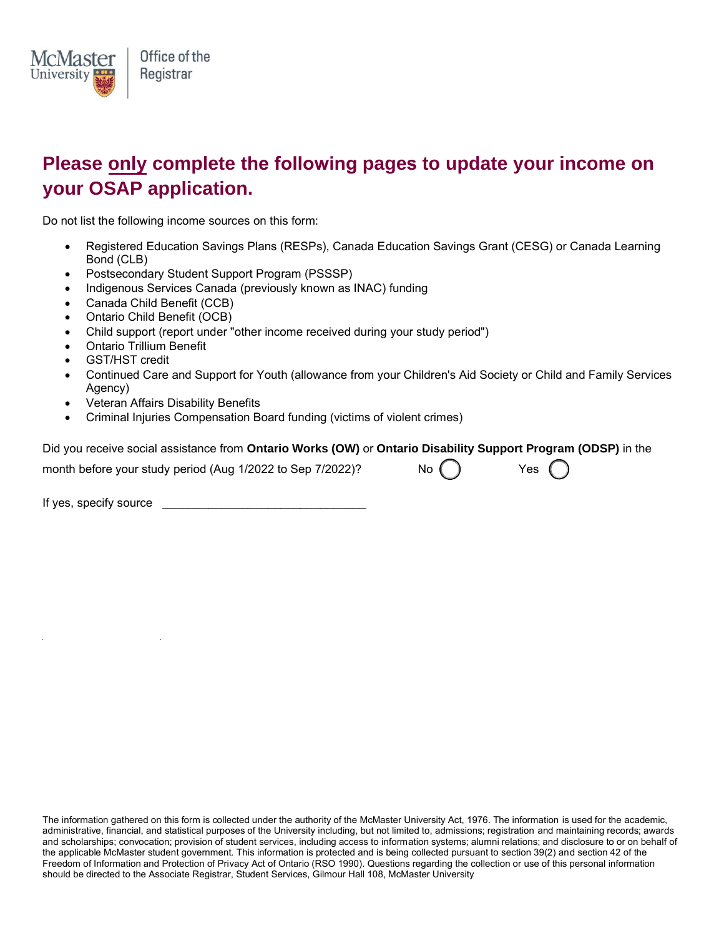

## **Please only complete the following pages to update your income on your OSAP application.**

Do not list the following income sources on this form:

- Registered Education Savings Plans (RESPs), Canada Education Savings Grant (CESG) or Canada Learning Bond (CLB)
- Postsecondary Student Support Program (PSSSP)
- Indigenous Services Canada (previously known as INAC) funding
- Canada Child Benefit (CCB)
- Ontario Child Benefit (OCB)
- Child support (report under "other income received during your study period")
- Ontario Trillium Benefit
- GST/HST credit
- Continued Care and Support for Youth (allowance from your Children's Aid Society or Child and Family Services Agency)
- Veteran Affairs Disability Benefits
- Criminal Injuries Compensation Board funding (victims of violent crimes)

Did you receive social assistance from **Ontario Works (OW)** or **Ontario Disability Support Program (ODSP)** in the

month before your study period (Aug 1/2022 to Sep 7/2022)? No  $\binom{?}{}$  Yes

If yes, specify source  $\blacksquare$ 

The information gathered on this form is collected under the authority of the McMaster University Act, 1976. The information is used for the academic, administrative, financial, and statistical purposes of the University including, but not limited to, admissions; registration and maintaining records; awards and scholarships; convocation; provision of student services, including access to information systems; alumni relations; and disclosure to or on behalf of the applicable McMaster student government. This information is protected and is being collected pursuant to section 39(2) and section 42 of the Freedom of Information and Protection of Privacy Act of Ontario (RSO 1990). Questions regarding the collection or use of this personal information should be directed to the Associate Registrar, Student Services, Gilmour Hall 108, McMaster University